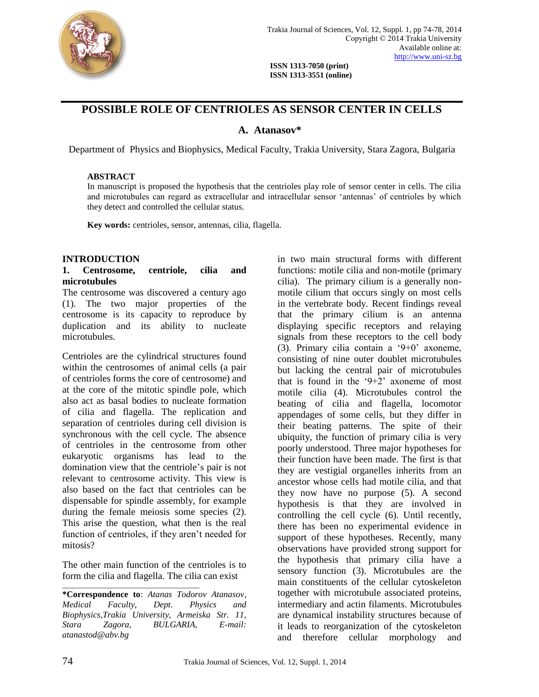

 **ISSN 1313-7050 (print) ISSN 1313-3551 (online)**

# **POSSIBLE ROLE OF CENTRIOLES AS SENSOR CENTER IN CELLS**

# **A. Atanasov\***

Department of Physics and Biophysics, Medical Faculty, Trakia University, Stara Zagora, Bulgaria

# **ABSTRACT**

In manuscript is proposed the hypothesis that the centrioles play role of sensor center in cells. The cilia and microtubules can regard as extracellular and intracellular sensor 'antennas' of centrioles by which they detect and controlled the cellular status.

**Key words:** centrioles, sensor, antennas, cilia, flagella.

# **INTRODUCTION**

#### **1. Centrosome, centriole, cilia and microtubules**

The centrosome was discovered a century ago (1). The two major properties of the centrosome is its capacity to reproduce by duplication and its ability to nucleate microtubules.

Centrioles are the cylindrical structures found within the centrosomes of animal cells (a pair of centrioles forms the core of centrosome) and at the core of the mitotic spindle pole, which also act as basal bodies to nucleate formation of cilia and flagella. The replication and separation of centrioles during cell division is synchronous with the cell cycle. The absence of centrioles in the centrosome from other eukaryotic organisms has lead to the domination view that the centriole's pair is not relevant to centrosome activity. This view is also based on the fact that centrioles can be dispensable for spindle assembly, for example during the female meiosis some species (2). This arise the question, what then is the real function of centrioles, if they aren't needed for mitosis?

The other main function of the centrioles is to form the cilia and flagella. The cilia can exist

\_\_\_\_\_\_\_\_\_\_\_\_\_\_\_\_\_\_\_\_\_\_\_\_\_\_\_\_\_\_\_\_\_\_\_\_\_\_\_

**\*Correspondence to**: *Atanas Todorov Atanasov, Medical Faculty, Dept. Physics and Biophysics,Trakia University, Armeiska Str. 11, Stara Zagora, BULGARIA, E-mail: [atanastod@abv.bg](mailto:atanastod@abv.bg)*

in two main structural forms with different functions: motile cilia and non-motile (primary cilia). The primary cilium is a generally nonmotile cilium that occurs singly on most cells in the vertebrate body. Recent findings reveal that the primary cilium is an antenna displaying specific receptors and relaying signals from these receptors to the cell body (3). Primary cilia contain a '9+0' axoneme, consisting of nine outer doublet microtubules but lacking the central pair of microtubules that is found in the  $9+2$  axoneme of most motile cilia (4). Microtubules control the beating of cilia and flagella, locomotor appendages of some cells, but they differ in their beating patterns. The spite of their ubiquity, the function of primary cilia is very poorly understood. Three major hypotheses for their function have been made. The first is that they are vestigial organelles inherits from an ancestor whose cells had motile cilia, and that they now have no purpose (5). A second hypothesis is that they are involved in controlling the cell cycle (6). Until recently, there has been no experimental evidence in support of these hypotheses. Recently, many observations have provided strong support for the hypothesis that primary cilia have a sensory function (3). Microtubules are the main constituents of the cellular cytoskeleton together with microtubule associated proteins, intermediary and actin filaments. Microtubules are dynamical instability structures because of it leads to reorganization of the cytoskeleton and therefore cellular morphology and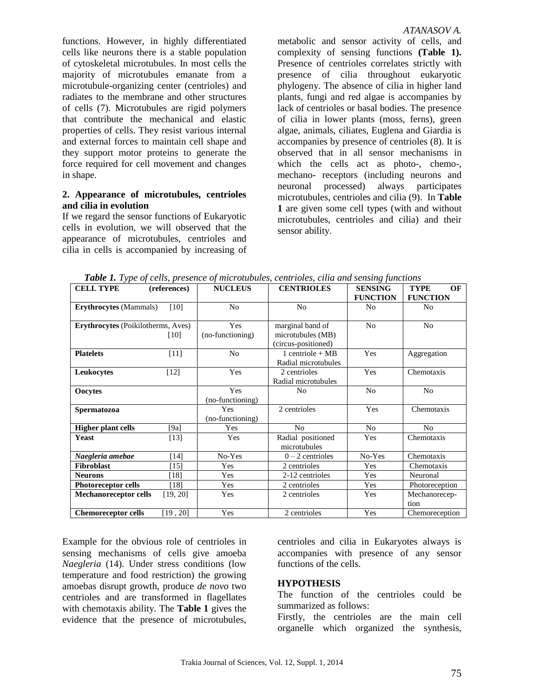functions. However, in highly differentiated cells like neurons there is a stable population of cytoskeletal microtubules. In most cells the majority of microtubules emanate from a microtubule-organizing center (centrioles) and radiates to the membrane and other structures of cells (7). Microtubules are rigid polymers that contribute the mechanical and elastic properties of cells. They resist various internal and external forces to maintain cell shape and they support motor proteins to generate the force required for cell movement and changes in shape.

#### **2. Appearance of microtubules, centrioles and cilia in evolution**

If we regard the sensor functions of Eukaryotic cells in evolution, we will observed that the appearance of microtubules, centrioles and cilia in cells is accompanied by increasing of

metabolic and sensor activity of cells, and complexity of sensing functions **(Table 1).** Presence of centrioles correlates strictly with presence of cilia throughout eukaryotic phylogeny. The absence of cilia in higher land plants, fungi and red algae is accompanies by lack of centrioles or basal bodies. The presence of cilia in lower plants (moss, ferns), green algae, animals, ciliates, Euglena and Giardia is accompanies by presence of centrioles (8). It is observed that in all sensor mechanisms in which the cells act as photo-, chemo-, mechano- receptors (including neurons and neuronal processed) always participates microtubules, centrioles and cilia (9). In **Table 1** are given some cell types (with and without microtubules, centrioles and cilia) and their sensor ability.

| <b>CELL TYPE</b>                          | (references) | <b>NUCLEUS</b>          | <b>CENTRIOLES</b>                                            | <b>SENSING</b><br><b>FUNCTION</b> | <b>TYPE</b><br>OF<br><b>FUNCTION</b> |
|-------------------------------------------|--------------|-------------------------|--------------------------------------------------------------|-----------------------------------|--------------------------------------|
| <b>Erythrocytes</b> (Mammals)             | [10]         | N <sub>o</sub>          | N <sub>0</sub>                                               | N <sub>0</sub>                    | N <sub>0</sub>                       |
| <b>Erythrocytes</b> (Poikilotherms, Aves) | [10]         | Yes<br>(no-functioning) | marginal band of<br>microtubules (MB)<br>(circus-positioned) | N <sub>o</sub>                    | N <sub>0</sub>                       |
| <b>Platelets</b>                          | $[11]$       | N <sub>o</sub>          | 1 centriole + $MB$<br>Radial microtubules                    | Yes                               | Aggregation                          |
| Leukocytes                                | $[12]$       | Yes                     | 2 centrioles<br>Radial microtubules                          | Yes                               | Chemotaxis                           |
| <b>Oocytes</b>                            |              | Yes<br>(no-functioning) | No                                                           | N <sub>0</sub>                    | N <sub>0</sub>                       |
| <b>Spermatozoa</b>                        |              | Yes<br>(no-functioning) | 2 centrioles                                                 | Yes                               | Chemotaxis                           |
| <b>Higher plant cells</b>                 | [ $9a$ ]     | Yes                     | N <sub>o</sub>                                               | N <sub>0</sub>                    | N <sub>0</sub>                       |
| Yeast                                     | $[13]$       | Yes                     | Radial positioned<br>microtubules                            | Yes                               | Chemotaxis                           |
| Naegleria amebae                          | $[14]$       | No-Yes                  | $0 - 2$ centrioles                                           | No-Yes                            | Chemotaxis                           |
| Fibroblast                                | $[15]$       | Yes                     | 2 centrioles                                                 | Yes                               | Chemotaxis                           |
| <b>Neurons</b>                            | [18]         | Yes                     | 2-12 centrioles                                              | Yes                               | Neuronal                             |
| <b>Photoreceptor cells</b>                | [18]         | Yes                     | 2 centrioles                                                 | Yes                               | Photoreception                       |
| <b>Mechanoreceptor cells</b>              | [19, 20]     | Yes                     | 2 centrioles                                                 | Yes                               | Mechanorecep-<br>tion                |
| <b>Chemoreceptor cells</b>                | [19, 20]     | Yes                     | 2 centrioles                                                 | Yes                               | Chemoreception                       |

 *Table 1. Type of cells, presence of microtubules, centrioles, cilia and sensing functions*

Example for the obvious role of centrioles in sensing mechanisms of cells give amoeba *Naegleria* (14). Under stress conditions (low temperature and food restriction) the growing amoebas disrupt growth, produce *de novo* two centrioles and are transformed in flagellates with chemotaxis ability. The **Table 1** gives the evidence that the presence of microtubules, centrioles and cilia in Eukaryotes always is accompanies with presence of any sensor functions of the cells.

# **HYPOTHESIS**

The function of the centrioles could be summarized as follows:

Firstly, the centrioles are the main cell organelle which organized the synthesis,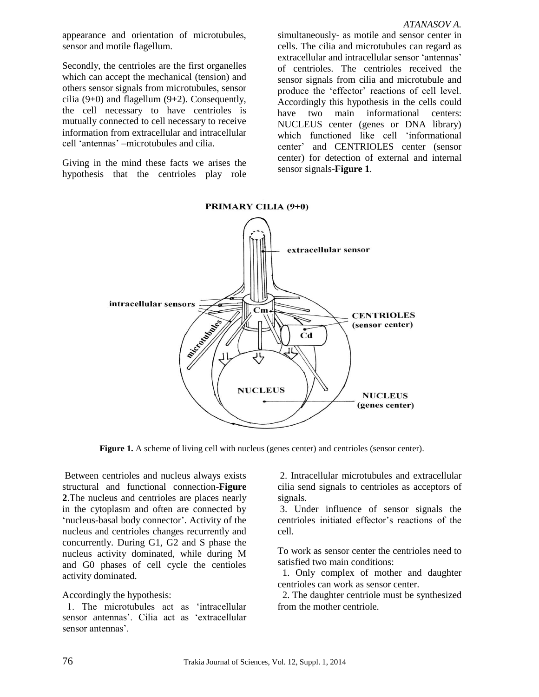appearance and orientation of microtubules, sensor and motile flagellum.

Secondly, the centrioles are the first organelles which can accept the mechanical (tension) and others sensor signals from microtubules, sensor cilia  $(9+0)$  and flagellum  $(9+2)$ . Consequently, the cell necessary to have centrioles is mutually connected to cell necessary to receive information from extracellular and intracellular cell 'antennas' –microtubules and cilia.

Giving in the mind these facts we arises the hypothesis that the centrioles play role simultaneously- as motile and sensor center in cells. The cilia and microtubules can regard as extracellular and intracellular sensor 'antennas' of centrioles. The centrioles received the sensor signals from cilia and microtubule and produce the 'effector' reactions of cell level. Accordingly this hypothesis in the cells could have two main informational centers: NUCLEUS center (genes or DNA library) which functioned like cell 'informational center' and CENTRIOLES center (sensor center) for detection of external and internal sensor signals-**Figure 1**.



**Figure 1.** A scheme of living cell with nucleus (genes center) and centrioles (sensor center).

Between centrioles and nucleus always exists structural and functional connection-**Figure 2**.Тhe nucleus and centrioles are places nearly in the cytoplasm and often are connected by 'nucleus-basal body connector'. Activity of the nucleus and centrioles changes recurrently and concurrently. During G1, G2 and S phase the nucleus activity dominated, while during М and G0 phases of cell cycle the centioles activity dominated.

# Accordingly the hypothesis:

1. The microtubules act as 'intracellular sensor antennas'. Cilia act as 'extracellular sensor antennas'.

2. Intracellular microtubules and extracellular cilia send signals to centrioles as acceptors of signals.

3. Under influence of sensor signals the centrioles initiated effector's reactions of the cell.

To work as sensor center the centrioles need to satisfied two main conditions:

 1. Only complex of mother and daughter centrioles can work as sensor center.

 2. The daughter centriole must be synthesized from the mother centriole.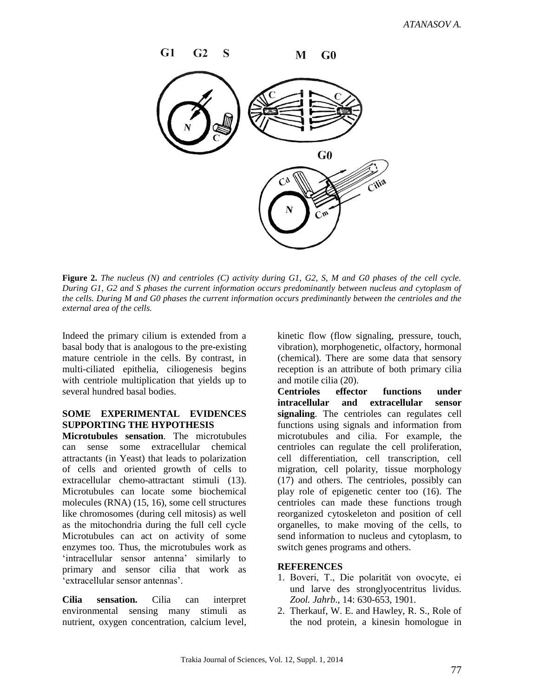

**Figure 2.** *The nucleus (N) and centrioles (C) activity during G1, G2, S, M and G0 phases of the cell cycle. During G1, G2 and S phases the current information occurs predominantly between nucleus and cytoplasm of the cells. During M and G0 phases the current information occurs prediminantly between the centrioles and the external area of the cells.*

Indeed the primary cilium is extended from a basal body that is analogous to the pre-existing mature centriole in the cells. By contrast, in multi-ciliated epithelia, ciliogenesis begins with centriole multiplication that yields up to several hundred basal bodies.

# **SOME EXPERIMENTAL EVIDENCES SUPPORTING THE HYPOTHESIS**

**Microtubules sensation**. The microtubules can sense some extracellular chemical attractants (in Yeast) that leads to polarization of cells and oriented growth of cells to extracellular chemo-attractant stimuli (13). Microtubules can locate some biochemical molecules (RNA) (15, 16), some cell structures like chromosomes (during cell mitosis) as well as the mitochondria during the full cell cycle Microtubules can act on activity of some enzymes too. Thus, the microtubules work as 'intracellular sensor antenna' similarly to primary and sensor cilia that work as 'extracellular sensor antennas'.

**Cilia sensation.** Cilia can interpret environmental sensing many stimuli as nutrient, oxygen concentration, calcium level, kinetic flow (flow signaling, pressure, touch, vibration), morphogenetic, olfactory, hormonal (chemical). There are some data that sensory reception is an attribute of both primary cilia and motile cilia (20).

**Centrioles effector functions under intracellular and extracellular sensor signaling**. The centrioles can regulates cell functions using signals and information from microtubules and cilia. For example, the centrioles can regulate the cell proliferation, cell differentiation, cell transcription, cell migration, cell polarity, tissue morphology (17) and others. The centrioles, possibly can play role of epigenetic center too (16). The centrioles can made these functions trough reorganized cytoskeleton and position of cell organelles, to make moving of the cells, to send information to nucleus and cytoplasm, to switch genes programs and others.

# **REFERENCES**

- 1. Boveri, T., Die polarität von ovocyte, ei und larve des stronglyocentritus lividus. *Zool. Jahrb*., 14: 630-653, 1901.
- 2. Therkauf, W. E. and Hawley, R. S., Role of the nod protein, a kinesin homologue in